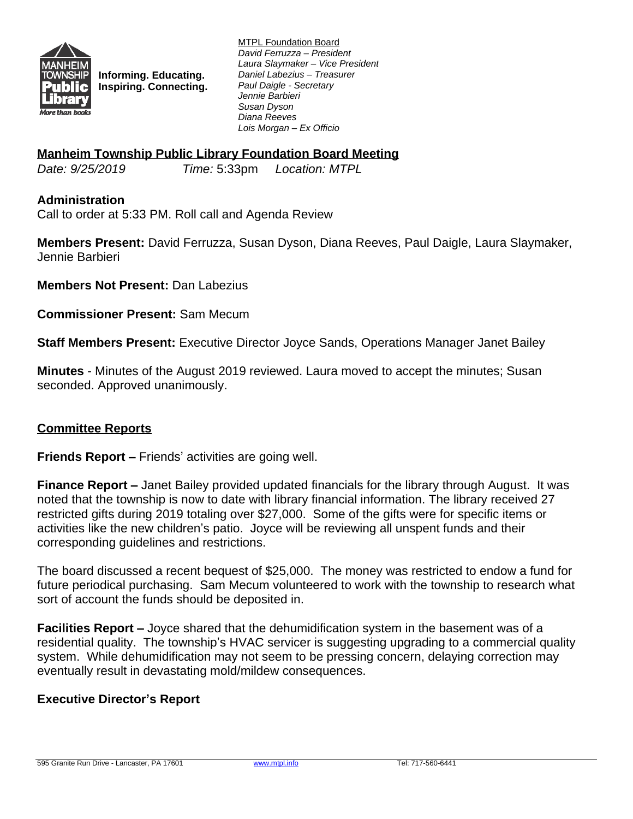

**Informing. Educating. Inspiring. Connecting.** MTPL Foundation Board *David Ferruzza – President Laura Slaymaker – Vice President Daniel Labezius – Treasurer Paul Daigle - Secretary Jennie Barbieri Susan Dyson Diana Reeves Lois Morgan – Ex Officio*

### **Manheim Township Public Library Foundation Board Meeting**

*Date: 9/25/2019 Time:* 5:33pm *Location: MTPL*

### **Administration**

Call to order at 5:33 PM. Roll call and Agenda Review

**Members Present:** David Ferruzza, Susan Dyson, Diana Reeves, Paul Daigle, Laura Slaymaker, Jennie Barbieri

**Members Not Present:** Dan Labezius

**Commissioner Present:** Sam Mecum

**Staff Members Present:** Executive Director Joyce Sands, Operations Manager Janet Bailey

**Minutes** - Minutes of the August 2019 reviewed. Laura moved to accept the minutes; Susan seconded. Approved unanimously.

### **Committee Reports**

**Friends Report –** Friends' activities are going well.

**Finance Report –** Janet Bailey provided updated financials for the library through August. It was noted that the township is now to date with library financial information. The library received 27 restricted gifts during 2019 totaling over \$27,000. Some of the gifts were for specific items or activities like the new children's patio. Joyce will be reviewing all unspent funds and their corresponding guidelines and restrictions.

The board discussed a recent bequest of \$25,000. The money was restricted to endow a fund for future periodical purchasing. Sam Mecum volunteered to work with the township to research what sort of account the funds should be deposited in.

**Facilities Report –** Joyce shared that the dehumidification system in the basement was of a residential quality. The township's HVAC servicer is suggesting upgrading to a commercial quality system. While dehumidification may not seem to be pressing concern, delaying correction may eventually result in devastating mold/mildew consequences.

### **Executive Director's Report**

595 Granite Run Drive - Lancaster, PA 17601 [www.mtpl.info](http://www.mtpl.info) Tel: 717-560-6441